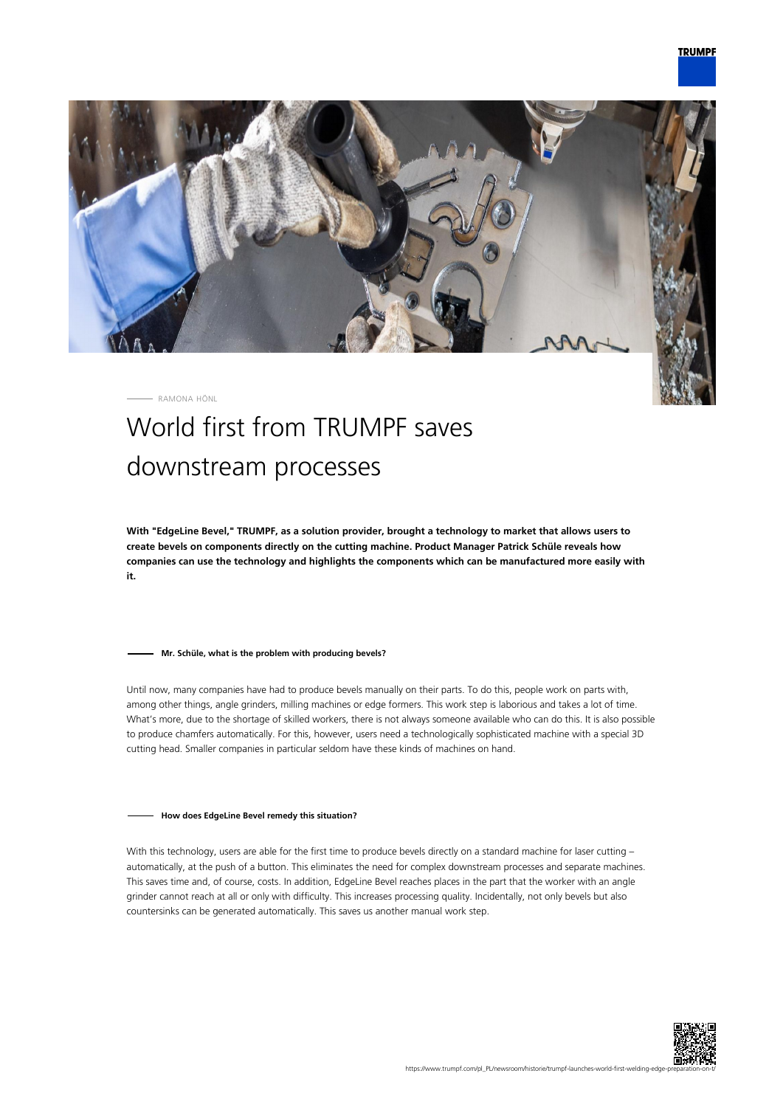

RAMONA HÖNL

# World first from TRUMPF saves downstream processes

**With "EdgeLine Bevel," TRUMPF, as a solution provider, brought a technology to market that allows users to create bevels on components directly on the cutting machine. Product Manager Patrick Schüle reveals how companies can use the technology and highlights the components which can be manufactured more easily with it.**

### **Mr. Schüle, what is the problem with producing bevels?**

Until now, many companies have had to produce bevels manually on their parts. To do this, people work on parts with, among other things, angle grinders, milling machines or edge formers. This work step is laborious and takes a lot of time. What's more, due to the shortage of skilled workers, there is not always someone available who can do this. It is also possible to produce chamfers automatically. For this, however, users need a technologically sophisticated machine with a special 3D cutting head. Smaller companies in particular seldom have these kinds of machines on hand.

#### **How does EdgeLine Bevel remedy this situation?**

With this technology, users are able for the first time to produce bevels directly on a standard machine for laser cutting automatically, at the push of a button. This eliminates the need for complex downstream processes and separate machines. This saves time and, of course, costs. In addition, EdgeLine Bevel reaches places in the part that the worker with an angle grinder cannot reach at all or only with difficulty. This increases processing quality. Incidentally, not only bevels but also countersinks can be generated automatically. This saves us another manual work step.

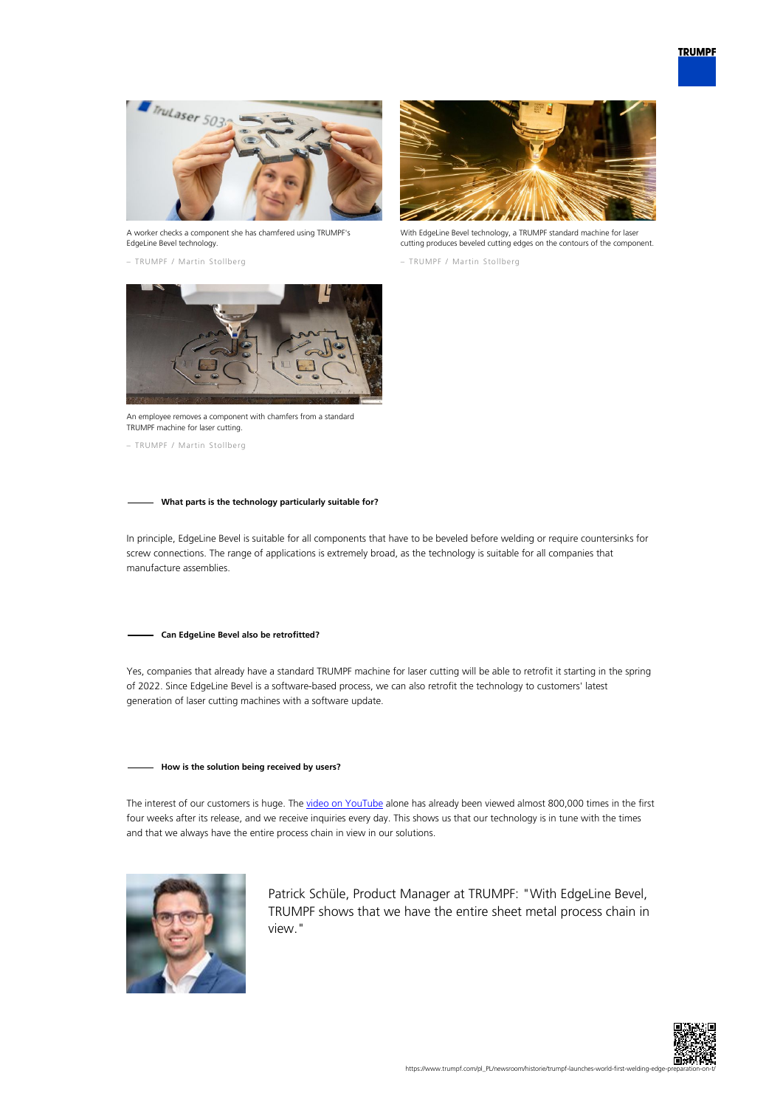

A worker checks a component she has chamfered using TRUMPF's EdgeLine Bevel technology.

– TRUMPF / Martin Stollberg



With EdgeLine Bevel technology, a TRUMPF standard machine for laser cutting produces beveled cutting edges on the contours of the component.

– TRUMPF / Martin Stollberg



An employee removes a component with chamfers from a standard TRUMPF machine for laser cutting.

– TRUMPF / Martin Stollberg

## **What parts is the technology particularly suitable for?**

In principle, EdgeLine Bevel is suitable for all components that have to be beveled before welding or require countersinks for screw connections. The range of applications is extremely broad, as the technology is suitable for all companies that manufacture assemblies.

#### **Can EdgeLine Bevel also be retrofitted?**

Yes, companies that already have a standard TRUMPF machine for laser cutting will be able to retrofit it starting in the spring of 2022. Since EdgeLine Bevel is a software-based process, we can also retrofit the technology to customers' latest generation of laser cutting machines with a software update.

## **How is the solution being received by users?**

The interest of our customers is huge. The [video on YouTube](https://www.youtube.com/watch?v=wjYai1xAQek) alone has already been viewed almost 800,000 times in the first four weeks after its release, and we receive inquiries every day. This shows us that our technology is in tune with the times and that we always have the entire process chain in view in our solutions.



Patrick Schüle, Product Manager at TRUMPF: "With EdgeLine Bevel, TRUMPF shows that we have the entire sheet metal process chain in view."